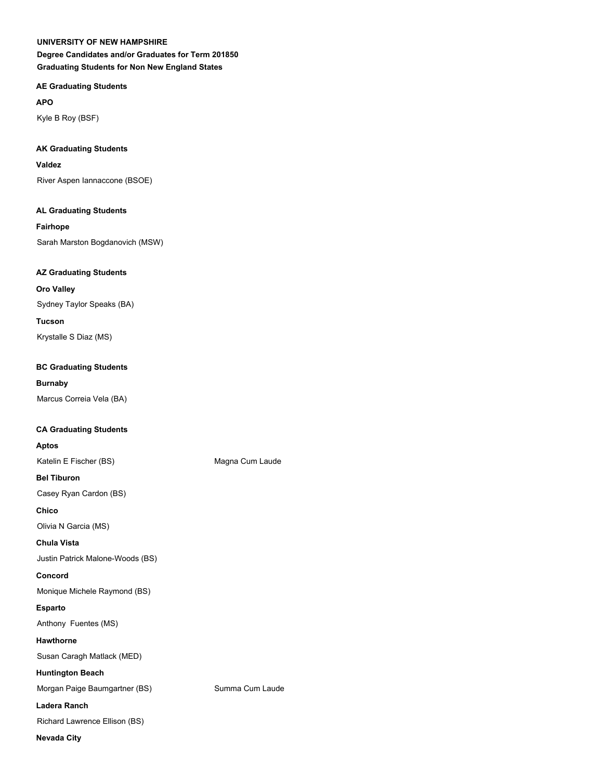**AE Graduating Students**

**APO**

Kyle B Roy (BSF)

## **AK Graduating Students**

### **Valdez**

River Aspen Iannaccone (BSOE)

## **AL Graduating Students**

**Fairhope** Sarah Marston Bogdanovich (MSW)

## **AZ Graduating Students**

**Oro Valley**

Sydney Taylor Speaks (BA)

**Tucson** Krystalle S Diaz (MS)

## **BC Graduating Students**

## **Burnaby**

Marcus Correia Vela (BA)

## **CA Graduating Students**

## **Aptos**

Katelin E Fischer (BS) Magna Cum Laude

**Bel Tiburon**

Casey Ryan Cardon (BS)

**Chico**

Olivia N Garcia (MS)

## **Chula Vista**

Justin Patrick Malone-Woods (BS)

**Concord**

Monique Michele Raymond (BS)

## **Esparto**

Anthony Fuentes (MS)

## **Hawthorne**

Susan Caragh Matlack (MED)

## **Huntington Beach**

Morgan Paige Baumgartner (BS) Summa Cum Laude

## **Ladera Ranch**

Richard Lawrence Ellison (BS)

## **Nevada City**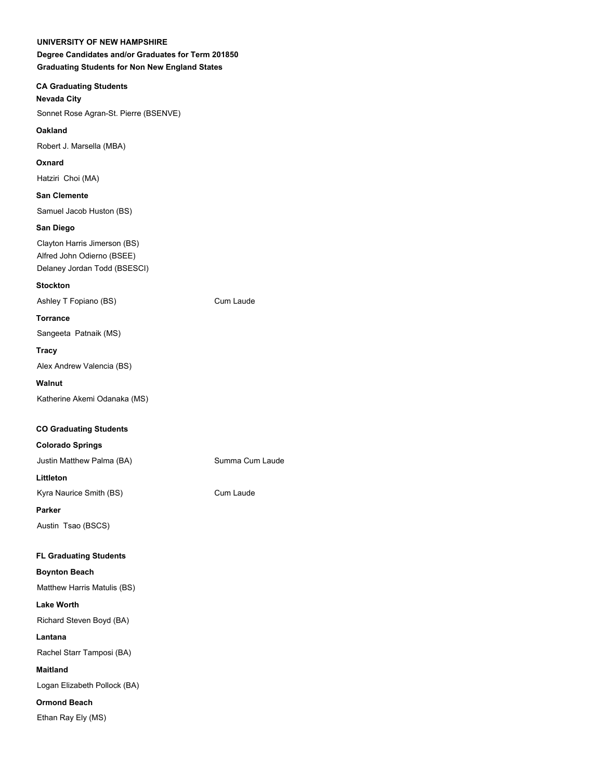## **CA Graduating Students**

## **Nevada City**

Sonnet Rose Agran-St. Pierre (BSENVE)

## **Oakland**

Robert J. Marsella (MBA)

## **Oxnard**

Hatziri Choi (MA)

## **San Clemente**

Samuel Jacob Huston (BS)

## **San Diego**

Clayton Harris Jimerson (BS) Alfred John Odierno (BSEE) Delaney Jordan Todd (BSESCI)

## **Stockton**

Ashley T Fopiano (BS) Cum Laude

## **Torrance**

Sangeeta Patnaik (MS)

## **Tracy**

Alex Andrew Valencia (BS)

## **Walnut**

Katherine Akemi Odanaka (MS)

# **CO Graduating Students**

## **Colorado Springs**

Justin Matthew Palma (BA) Summa Cum Laude **Littleton**

Kyra Naurice Smith (BS) Cum Laude

## **Parker**

Austin Tsao (BSCS)

## **FL Graduating Students**

## **Boynton Beach**

Matthew Harris Matulis (BS) **Lake Worth**

Richard Steven Boyd (BA)

## **Lantana**

Rachel Starr Tamposi (BA)

## **Maitland**

Logan Elizabeth Pollock (BA)

## **Ormond Beach**

Ethan Ray Ely (MS)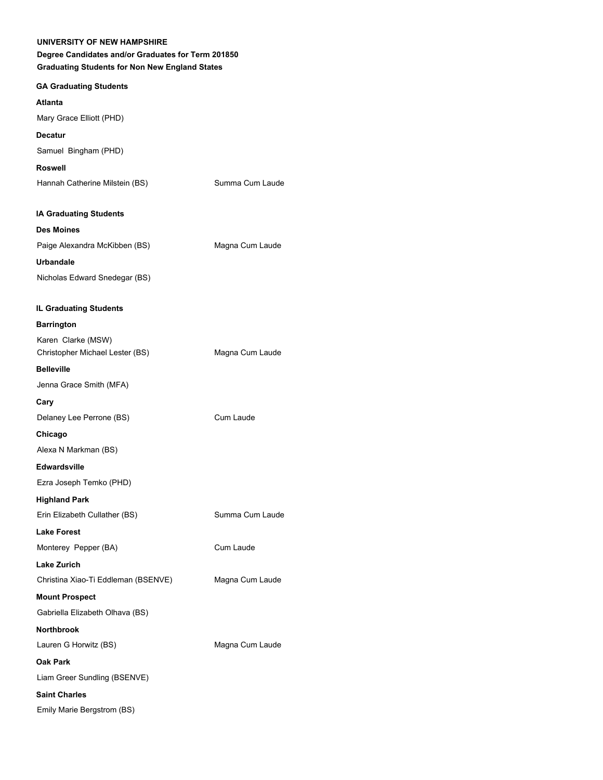## **Degree Candidates and/or Graduates for Term 201850 Graduating Students for Non New England States**

## **GA Graduating Students**

## **Atlanta**

Mary Grace Elliott (PHD)

## **Decatur**

Samuel Bingham (PHD)

## **Roswell**

| Hannah Catherine Milstein (BS) | Summa Cum Laude |
|--------------------------------|-----------------|
|                                |                 |

### **IA Graduating Students**

| <b>Des Moines</b>             |                 |
|-------------------------------|-----------------|
| Paige Alexandra McKibben (BS) | Magna Cum Laude |
| Urbandale                     |                 |
| Nicholas Edward Snedegar (BS) |                 |

## **IL Graduating Students**

| <b>Barrington</b>                   |                 |
|-------------------------------------|-----------------|
| Karen Clarke (MSW)                  |                 |
| Christopher Michael Lester (BS)     | Magna Cum Laude |
| <b>Belleville</b>                   |                 |
| Jenna Grace Smith (MFA)             |                 |
| Cary                                |                 |
| Delaney Lee Perrone (BS)            | Cum Laude       |
| Chicago                             |                 |
| Alexa N Markman (BS)                |                 |
| Edwardsville                        |                 |
| Ezra Joseph Temko (PHD)             |                 |
| <b>Highland Park</b>                |                 |
| Erin Elizabeth Cullather (BS)       | Summa Cum Laude |
| <b>Lake Forest</b>                  |                 |
| Monterey Pepper (BA)                | Cum Laude       |
| <b>Lake Zurich</b>                  |                 |
| Christina Xiao-Ti Eddleman (BSENVE) | Magna Cum Laude |
| <b>Mount Prospect</b>               |                 |
| Gabriella Elizabeth Olhava (BS)     |                 |
| <b>Northbrook</b>                   |                 |
| Lauren G Horwitz (BS)               | Magna Cum Laude |
| Oak Park                            |                 |
| Liam Greer Sundling (BSENVE)        |                 |
| <b>Saint Charles</b>                |                 |

Emily Marie Bergstrom (BS)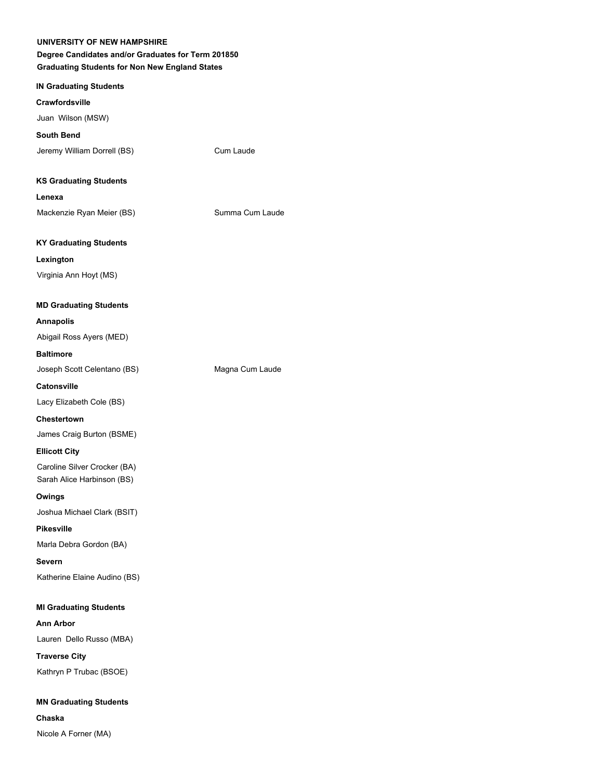## **Degree Candidates and/or Graduates for Term 201850 Graduating Students for Non New England States**

### **IN Graduating Students**

#### **Crawfordsville**

Juan Wilson (MSW)

## **South Bend**

Jeremy William Dorrell (BS) Cum Laude

#### **KS Graduating Students**

**Lenexa**

Mackenzie Ryan Meier (BS) Summa Cum Laude

## **KY Graduating Students**

**Lexington**

Virginia Ann Hoyt (MS)

### **MD Graduating Students**

#### **Annapolis**

Abigail Ross Ayers (MED)

## **Baltimore**

Joseph Scott Celentano (BS) Magna Cum Laude

**Catonsville**

Lacy Elizabeth Cole (BS)

## **Chestertown**

James Craig Burton (BSME)

#### **Ellicott City**

Caroline Silver Crocker (BA) Sarah Alice Harbinson (BS)

#### **Owings**

Joshua Michael Clark (BSIT)

## **Pikesville**

Marla Debra Gordon (BA)

#### **Severn**

Katherine Elaine Audino (BS)

#### **MI Graduating Students**

**Ann Arbor** Lauren Dello Russo (MBA)

# **Traverse City** Kathryn P Trubac (BSOE)

**MN Graduating Students Chaska**

Nicole A Forner (MA)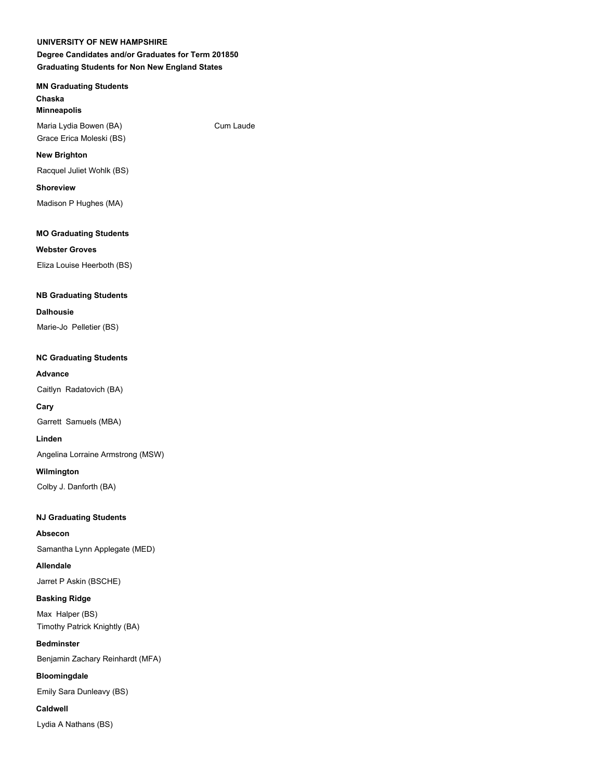## **MN Graduating Students Chaska**

**Minneapolis**

Maria Lydia Bowen (BA) Cum Laude Grace Erica Moleski (BS)

## **New Brighton**

Racquel Juliet Wohlk (BS)

## **Shoreview**

Madison P Hughes (MA)

## **MO Graduating Students**

## **Webster Groves**

Eliza Louise Heerboth (BS)

## **NB Graduating Students**

## **Dalhousie**

Marie-Jo Pelletier (BS)

## **NC Graduating Students**

## **Advance**

Caitlyn Radatovich (BA)

## **Cary**

Garrett Samuels (MBA)

## **Linden**

Angelina Lorraine Armstrong (MSW)

## **Wilmington**

Colby J. Danforth (BA)

## **NJ Graduating Students**

**Absecon**

# Samantha Lynn Applegate (MED)

**Allendale** Jarret P Askin (BSCHE)

## **Basking Ridge**

Max Halper (BS) Timothy Patrick Knightly (BA)

## **Bedminster**

Benjamin Zachary Reinhardt (MFA)

## **Bloomingdale**

Emily Sara Dunleavy (BS)

## **Caldwell**

Lydia A Nathans (BS)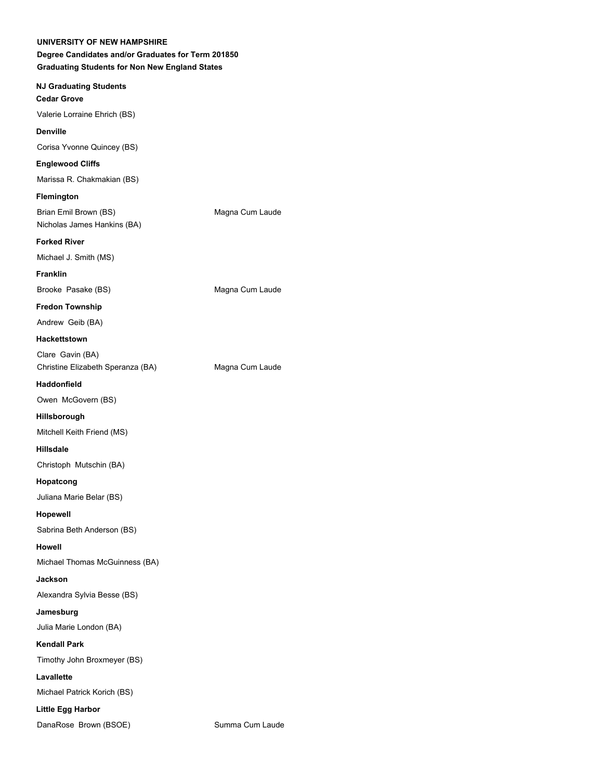| UNIVERSITY OF NEW HAMPSHIRE<br>Degree Candidates and/or Graduates for Term 201850<br><b>Graduating Students for Non New England States</b> |                 |  |
|--------------------------------------------------------------------------------------------------------------------------------------------|-----------------|--|
| <b>NJ Graduating Students</b>                                                                                                              |                 |  |
| <b>Cedar Grove</b>                                                                                                                         |                 |  |
| Valerie Lorraine Ehrich (BS)                                                                                                               |                 |  |
| <b>Denville</b>                                                                                                                            |                 |  |
| Corisa Yvonne Quincey (BS)                                                                                                                 |                 |  |
| <b>Englewood Cliffs</b>                                                                                                                    |                 |  |
| Marissa R. Chakmakian (BS)                                                                                                                 |                 |  |
| Flemington                                                                                                                                 |                 |  |
| Brian Emil Brown (BS)<br>Nicholas James Hankins (BA)                                                                                       | Magna Cum Laude |  |
| <b>Forked River</b>                                                                                                                        |                 |  |
| Michael J. Smith (MS)                                                                                                                      |                 |  |
| <b>Franklin</b>                                                                                                                            |                 |  |
| Brooke Pasake (BS)                                                                                                                         | Magna Cum Laude |  |
| <b>Fredon Township</b>                                                                                                                     |                 |  |
| Andrew Geib (BA)                                                                                                                           |                 |  |
| <b>Hackettstown</b>                                                                                                                        |                 |  |
| Clare Gavin (BA)<br>Christine Elizabeth Speranza (BA)                                                                                      | Magna Cum Laude |  |
| <b>Haddonfield</b>                                                                                                                         |                 |  |
| Owen McGovern (BS)                                                                                                                         |                 |  |
| Hillsborough                                                                                                                               |                 |  |
| Mitchell Keith Friend (MS)                                                                                                                 |                 |  |
| <b>Hillsdale</b>                                                                                                                           |                 |  |
| Christoph Mutschin (BA)                                                                                                                    |                 |  |
| Hopatcong                                                                                                                                  |                 |  |
| Juliana Marie Belar (BS)                                                                                                                   |                 |  |
| Hopewell                                                                                                                                   |                 |  |
| Sabrina Beth Anderson (BS)                                                                                                                 |                 |  |
| <b>Howell</b>                                                                                                                              |                 |  |
| Michael Thomas McGuinness (BA)                                                                                                             |                 |  |
| <b>Jackson</b>                                                                                                                             |                 |  |
| Alexandra Sylvia Besse (BS)                                                                                                                |                 |  |
| Jamesburg                                                                                                                                  |                 |  |
| Julia Marie London (BA)                                                                                                                    |                 |  |
| <b>Kendall Park</b>                                                                                                                        |                 |  |
| Timothy John Broxmeyer (BS)                                                                                                                |                 |  |
| Lavallette                                                                                                                                 |                 |  |
| Michael Patrick Korich (BS)                                                                                                                |                 |  |
| <b>Little Egg Harbor</b>                                                                                                                   |                 |  |
| DanaRose Brown (BSOE)                                                                                                                      | Summa Cum Laude |  |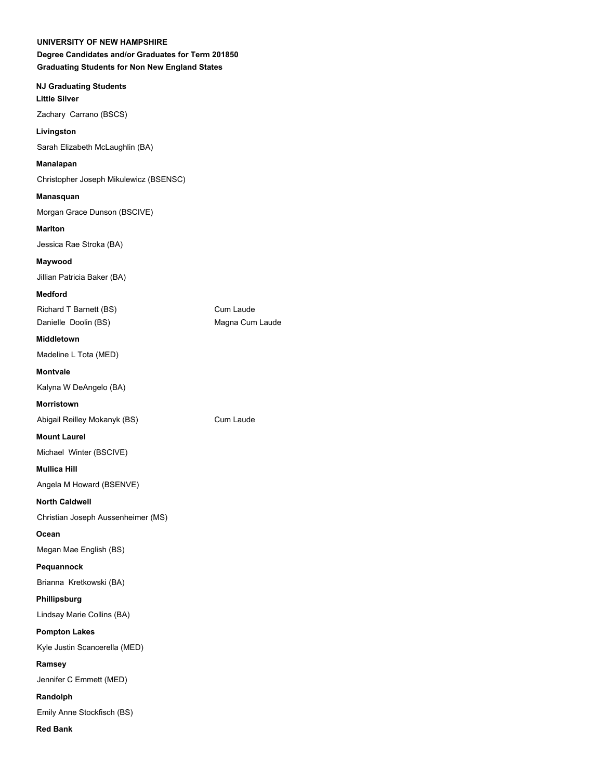**NJ Graduating Students Little Silver** Zachary Carrano (BSCS)

Sarah Elizabeth McLaughlin (BA)

## **Manalapan**

**Livingston**

Christopher Joseph Mikulewicz (BSENSC)

**Manasquan** Morgan Grace Dunson (BSCIVE)

**Marlton** Jessica Rae Stroka (BA)

**Maywood** Jillian Patricia Baker (BA)

**Medford**

Richard T Barnett (BS) Cum Laude Danielle Doolin (BS) Magna Cum Laude

**Middletown** Madeline L Tota (MED)

**Montvale** Kalyna W DeAngelo (BA)

**Morristown**

Abigail Reilley Mokanyk (BS) Cum Laude

**Mount Laurel**

Michael Winter (BSCIVE)

**Mullica Hill**

Angela M Howard (BSENVE)

**North Caldwell**

Christian Joseph Aussenheimer (MS)

**Ocean**

Megan Mae English (BS)

**Pequannock**

Brianna Kretkowski (BA)

**Phillipsburg**

Lindsay Marie Collins (BA)

**Pompton Lakes**

Kyle Justin Scancerella (MED)

**Ramsey** 

Jennifer C Emmett (MED) **Randolph**

Emily Anne Stockfisch (BS)

**Red Bank**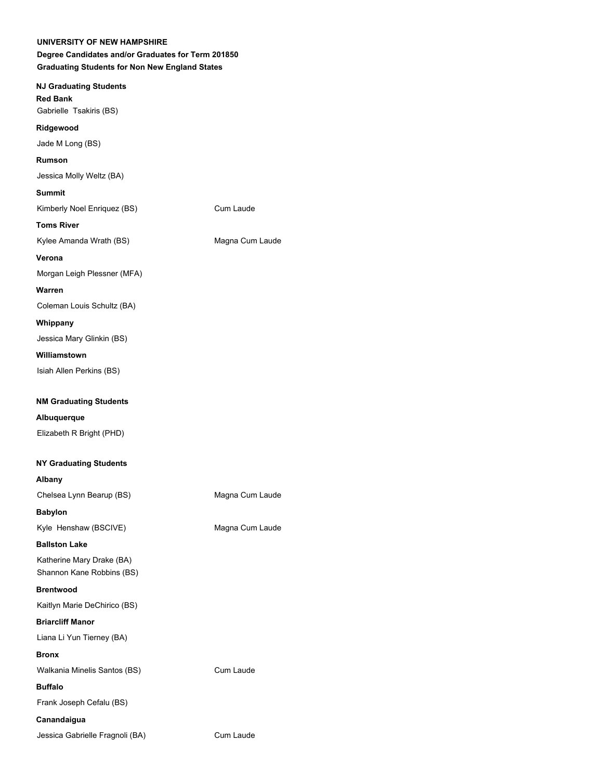| <b>UNIVERSITY OF NEW HAMPSHIRE</b><br>Degree Candidates and/or Graduates for Term 201850<br><b>Graduating Students for Non New England States</b> |                 |
|---------------------------------------------------------------------------------------------------------------------------------------------------|-----------------|
| <b>NJ Graduating Students</b><br><b>Red Bank</b><br>Gabrielle Tsakiris (BS)                                                                       |                 |
| Ridgewood                                                                                                                                         |                 |
| Jade M Long (BS)                                                                                                                                  |                 |
| <b>Rumson</b>                                                                                                                                     |                 |
| Jessica Molly Weltz (BA)                                                                                                                          |                 |
| <b>Summit</b>                                                                                                                                     |                 |
| Kimberly Noel Enriquez (BS)                                                                                                                       | Cum Laude       |
| <b>Toms River</b>                                                                                                                                 |                 |
| Kylee Amanda Wrath (BS)                                                                                                                           | Magna Cum Laude |
| Verona                                                                                                                                            |                 |
| Morgan Leigh Plessner (MFA)                                                                                                                       |                 |
| Warren                                                                                                                                            |                 |
| Coleman Louis Schultz (BA)                                                                                                                        |                 |
| Whippany                                                                                                                                          |                 |
| Jessica Mary Glinkin (BS)                                                                                                                         |                 |
| Williamstown                                                                                                                                      |                 |
| Isiah Allen Perkins (BS)                                                                                                                          |                 |
| <b>NM Graduating Students</b>                                                                                                                     |                 |
| Albuquerque                                                                                                                                       |                 |
| Elizabeth R Bright (PHD)                                                                                                                          |                 |
|                                                                                                                                                   |                 |
| <b>NY Graduating Students</b>                                                                                                                     |                 |
| Albany                                                                                                                                            |                 |
| Chelsea Lynn Bearup (BS)                                                                                                                          | Magna Cum Laude |
| <b>Babylon</b>                                                                                                                                    |                 |

Kyle Henshaw (BSCIVE) Magna Cum Laude

**Ballston Lake**

Katherine Mary Drake (BA) Shannon Kane Robbins (BS)

**Brentwood**

Kaitlyn Marie DeChirico (BS)

**Briarcliff Manor**

Liana Li Yun Tierney (BA)

**Bronx**

Walkania Minelis Santos (BS) Cum Laude

**Buffalo**

Frank Joseph Cefalu (BS)

## **Canandaigua**

Jessica Gabrielle Fragnoli (BA) Cum Laude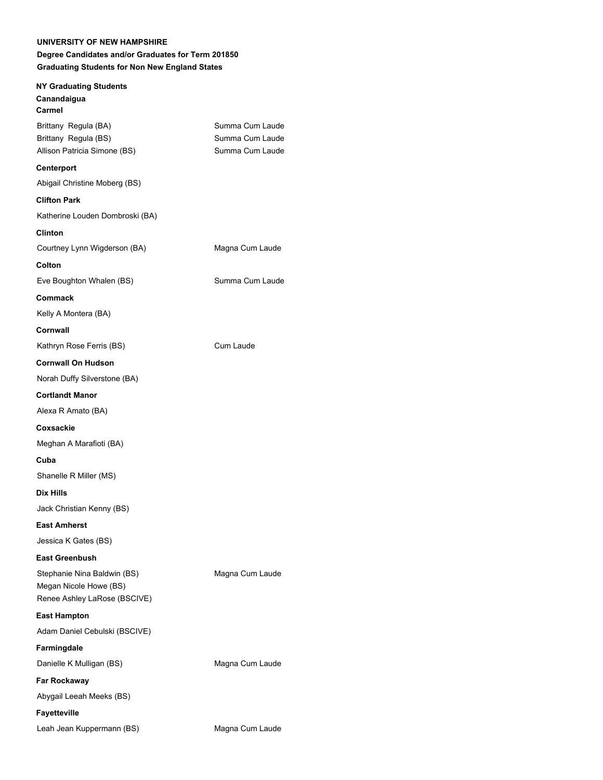**NY Graduating Students**

# **Canandaigua Carmel** Brittany Regula (BA) Summa Cum Laude Brittany Regula (BS) Summa Cum Laude Allison Patricia Simone (BS) Summa Cum Laude **Centerport** Abigail Christine Moberg (BS) **Clifton Park** Katherine Louden Dombroski (BA) **Clinton** Courtney Lynn Wigderson (BA) Magna Cum Laude **Colton** Eve Boughton Whalen (BS) Summa Cum Laude **Commack** Kelly A Montera (BA) **Cornwall** Kathryn Rose Ferris (BS) Cum Laude **Cornwall On Hudson** Norah Duffy Silverstone (BA) **Cortlandt Manor** Alexa R Amato (BA) **Coxsackie** Meghan A Marafioti (BA) **Cuba** Shanelle R Miller (MS) **Dix Hills** Jack Christian Kenny (BS) **East Amherst** Jessica K Gates (BS) **East Greenbush** Stephanie Nina Baldwin (BS) Magna Cum Laude Megan Nicole Howe (BS) Renee Ashley LaRose (BSCIVE) **East Hampton** Adam Daniel Cebulski (BSCIVE) **Farmingdale** Danielle K Mulligan (BS) Magna Cum Laude **Far Rockaway** Abygail Leeah Meeks (BS) **Fayetteville** Leah Jean Kuppermann (BS) Magna Cum Laude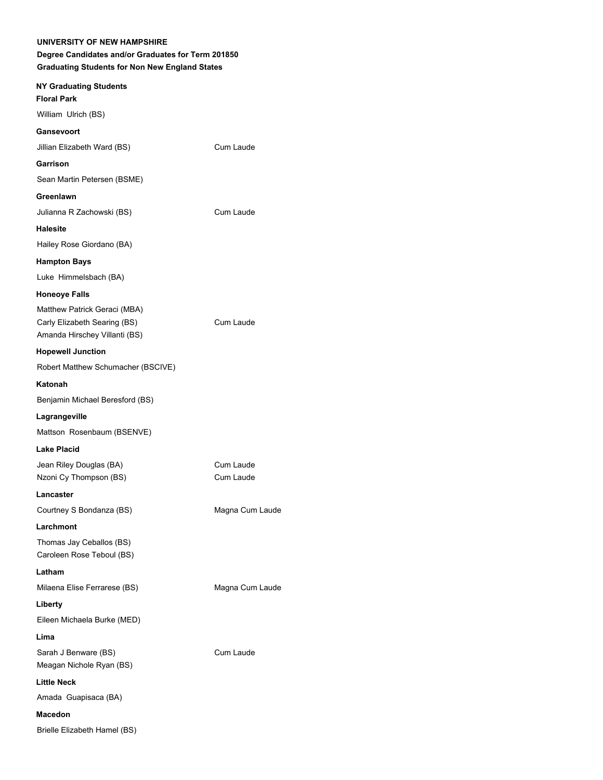## **Degree Candidates and/or Graduates for Term 201850 Graduating Students for Non New England States**

| <b>NY Graduating Students</b><br><b>Floral Park</b>                                           |                        |
|-----------------------------------------------------------------------------------------------|------------------------|
| William Ulrich (BS)                                                                           |                        |
| Gansevoort                                                                                    |                        |
| Jillian Elizabeth Ward (BS)                                                                   | Cum Laude              |
| Garrison                                                                                      |                        |
| Sean Martin Petersen (BSME)                                                                   |                        |
| Greenlawn                                                                                     |                        |
| Julianna R Zachowski (BS)                                                                     | Cum Laude              |
| Halesite                                                                                      |                        |
| Hailey Rose Giordano (BA)                                                                     |                        |
| <b>Hampton Bays</b>                                                                           |                        |
| Luke Himmelsbach (BA)                                                                         |                        |
| <b>Honeoye Falls</b>                                                                          |                        |
| Matthew Patrick Geraci (MBA)<br>Carly Elizabeth Searing (BS)<br>Amanda Hirschey Villanti (BS) | Cum Laude              |
| <b>Hopewell Junction</b>                                                                      |                        |
| Robert Matthew Schumacher (BSCIVE)                                                            |                        |
| Katonah                                                                                       |                        |
| Benjamin Michael Beresford (BS)                                                               |                        |
| Lagrangeville                                                                                 |                        |
| Mattson Rosenbaum (BSENVE)                                                                    |                        |
| Lake Placid                                                                                   |                        |
| Jean Riley Douglas (BA)<br>Nzoni Cy Thompson (BS)                                             | Cum Laude<br>Cum Laude |
| Lancaster                                                                                     |                        |
| Courtney S Bondanza (BS)                                                                      | Magna Cum Laude        |
| Larchmont                                                                                     |                        |
| Thomas Jay Ceballos (BS)<br>Caroleen Rose Teboul (BS)                                         |                        |
| Latham                                                                                        |                        |
| Milaena Elise Ferrarese (BS)                                                                  | Magna Cum Laude        |
| Liberty                                                                                       |                        |
| Eileen Michaela Burke (MED)                                                                   |                        |
| Lima                                                                                          |                        |
| Sarah J Benware (BS)<br>Meagan Nichole Ryan (BS)                                              | Cum Laude              |
| <b>Little Neck</b>                                                                            |                        |
| Amada Guapisaca (BA)                                                                          |                        |
| <b>Macedon</b>                                                                                |                        |
| Brielle Elizabeth Hamel (BS)                                                                  |                        |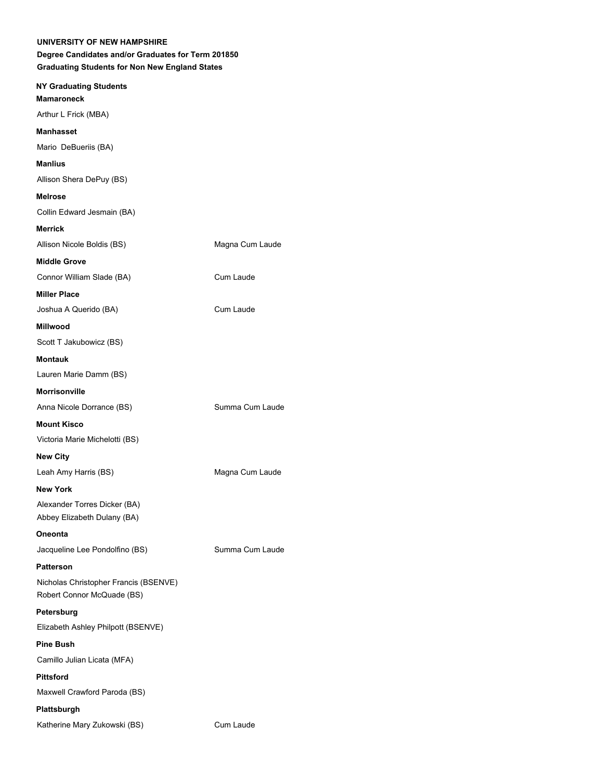| <b>NY Graduating Students</b>                                       |                 |
|---------------------------------------------------------------------|-----------------|
| <b>Mamaroneck</b>                                                   |                 |
| Arthur L Frick (MBA)                                                |                 |
| <b>Manhasset</b>                                                    |                 |
| Mario DeBueriis (BA)                                                |                 |
| <b>Manlius</b>                                                      |                 |
| Allison Shera DePuy (BS)                                            |                 |
| <b>Melrose</b>                                                      |                 |
| Collin Edward Jesmain (BA)                                          |                 |
| <b>Merrick</b>                                                      |                 |
| Allison Nicole Boldis (BS)                                          | Magna Cum Laude |
| <b>Middle Grove</b>                                                 |                 |
| Connor William Slade (BA)                                           | Cum Laude       |
| <b>Miller Place</b>                                                 |                 |
| Joshua A Querido (BA)                                               | Cum Laude       |
| <b>Millwood</b>                                                     |                 |
| Scott T Jakubowicz (BS)                                             |                 |
| <b>Montauk</b>                                                      |                 |
| Lauren Marie Damm (BS)                                              |                 |
| <b>Morrisonville</b>                                                |                 |
| Anna Nicole Dorrance (BS)                                           | Summa Cum Laude |
| <b>Mount Kisco</b>                                                  |                 |
| Victoria Marie Michelotti (BS)                                      |                 |
| <b>New City</b>                                                     |                 |
| Leah Amy Harris (BS)                                                | Magna Cum Laude |
| <b>New York</b>                                                     |                 |
| Alexander Torres Dicker (BA)<br>Abbey Elizabeth Dulany (BA)         |                 |
| <b>Oneonta</b>                                                      |                 |
| Jacqueline Lee Pondolfino (BS)                                      | Summa Cum Laude |
| <b>Patterson</b>                                                    |                 |
| Nicholas Christopher Francis (BSENVE)<br>Robert Connor McQuade (BS) |                 |
| Petersburg                                                          |                 |
| Elizabeth Ashley Philpott (BSENVE)                                  |                 |
| <b>Pine Bush</b>                                                    |                 |
| Camillo Julian Licata (MFA)                                         |                 |
| <b>Pittsford</b>                                                    |                 |
| Maxwell Crawford Paroda (BS)                                        |                 |
| Plattsburgh                                                         |                 |
| Katherine Mary Zukowski (BS)                                        | Cum Laude       |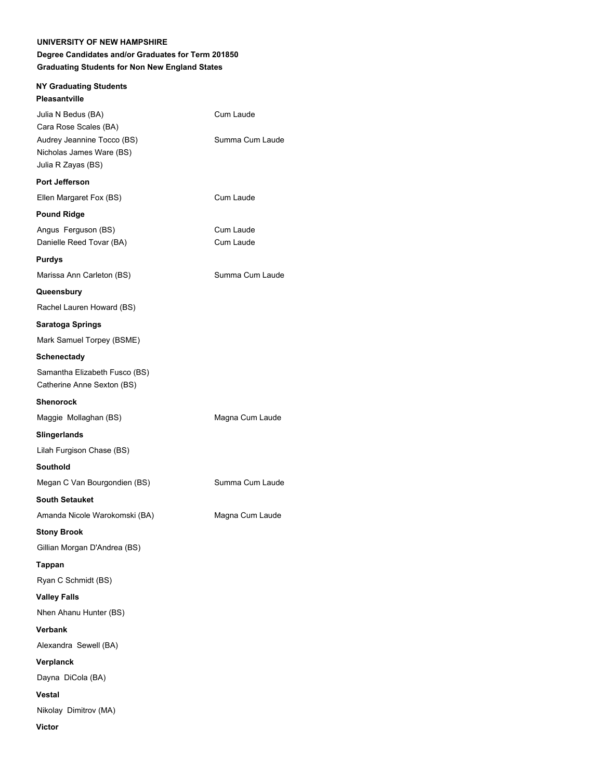| <b>NY Graduating Students</b>                                                                                               |                              |
|-----------------------------------------------------------------------------------------------------------------------------|------------------------------|
| Pleasantville                                                                                                               |                              |
| Julia N Bedus (BA)<br>Cara Rose Scales (BA)<br>Audrey Jeannine Tocco (BS)<br>Nicholas James Ware (BS)<br>Julia R Zayas (BS) | Cum Laude<br>Summa Cum Laude |
| Port Jefferson                                                                                                              |                              |
| Ellen Margaret Fox (BS)                                                                                                     | Cum Laude                    |
| <b>Pound Ridge</b>                                                                                                          |                              |
| Angus Ferguson (BS)<br>Danielle Reed Tovar (BA)                                                                             | Cum Laude<br>Cum Laude       |
| <b>Purdys</b>                                                                                                               |                              |
| Marissa Ann Carleton (BS)                                                                                                   | Summa Cum Laude              |
| Queensbury                                                                                                                  |                              |
| Rachel Lauren Howard (BS)                                                                                                   |                              |
| Saratoga Springs                                                                                                            |                              |
| Mark Samuel Torpey (BSME)                                                                                                   |                              |
| <b>Schenectady</b>                                                                                                          |                              |
| Samantha Elizabeth Fusco (BS)<br>Catherine Anne Sexton (BS)                                                                 |                              |
| <b>Shenorock</b>                                                                                                            |                              |
| Maggie Mollaghan (BS)                                                                                                       | Magna Cum Laude              |
| Slingerlands                                                                                                                |                              |
| Lilah Furgison Chase (BS)                                                                                                   |                              |
| Southold                                                                                                                    |                              |
| Megan C Van Bourgondien (BS)                                                                                                | Summa Cum Laude              |
| <b>South Setauket</b>                                                                                                       |                              |
| Amanda Nicole Warokomski (BA)                                                                                               | Magna Cum Laude              |
| <b>Stony Brook</b>                                                                                                          |                              |
| Gillian Morgan D'Andrea (BS)                                                                                                |                              |
|                                                                                                                             |                              |
| Tappan                                                                                                                      |                              |
| Ryan C Schmidt (BS)                                                                                                         |                              |
| <b>Valley Falls</b>                                                                                                         |                              |
| Nhen Ahanu Hunter (BS)                                                                                                      |                              |
| <b>Verbank</b>                                                                                                              |                              |
| Alexandra Sewell (BA)                                                                                                       |                              |
| Verplanck                                                                                                                   |                              |
| Dayna DiCola (BA)                                                                                                           |                              |
| <b>Vestal</b>                                                                                                               |                              |
| Nikolay Dimitrov (MA)                                                                                                       |                              |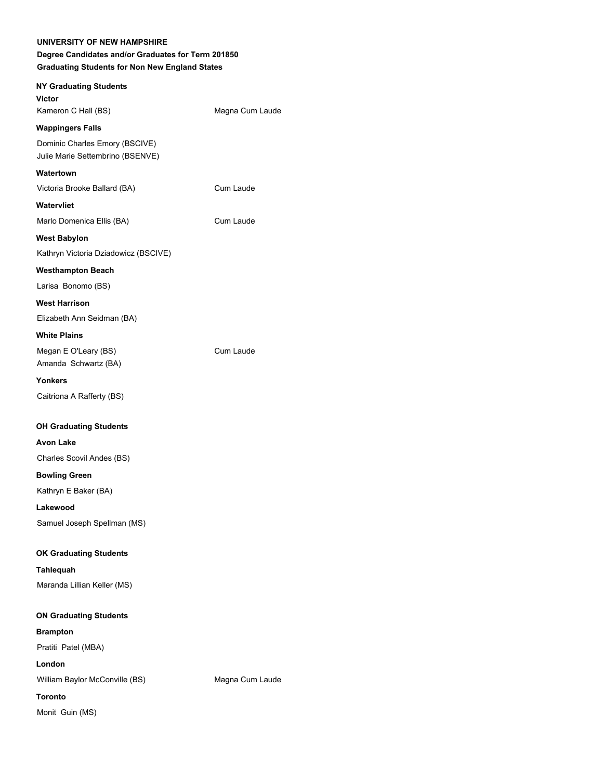| Degree Candidates and/or Graduates for Term 201850<br><b>Graduating Students for Non New England States</b> |                 |
|-------------------------------------------------------------------------------------------------------------|-----------------|
| <b>NY Graduating Students</b><br><b>Victor</b>                                                              |                 |
| Kameron C Hall (BS)                                                                                         | Magna Cum Laude |
| <b>Wappingers Falls</b><br>Dominic Charles Emory (BSCIVE)<br>Julie Marie Settembrino (BSENVE)               |                 |
| Watertown                                                                                                   |                 |
| Victoria Brooke Ballard (BA)                                                                                | Cum Laude       |
| Watervliet                                                                                                  |                 |
| Marlo Domenica Ellis (BA)                                                                                   | Cum Laude       |
| <b>West Babylon</b>                                                                                         |                 |
| Kathryn Victoria Dziadowicz (BSCIVE)                                                                        |                 |
| <b>Westhampton Beach</b>                                                                                    |                 |
| Larisa Bonomo (BS)                                                                                          |                 |
| <b>West Harrison</b>                                                                                        |                 |
| Elizabeth Ann Seidman (BA)                                                                                  |                 |
| <b>White Plains</b>                                                                                         |                 |
| Megan E O'Leary (BS)<br>Amanda Schwartz (BA)                                                                | Cum Laude       |
| Yonkers                                                                                                     |                 |
| Caitriona A Rafferty (BS)                                                                                   |                 |
| <b>OH Graduating Students</b>                                                                               |                 |
| <b>Avon Lake</b>                                                                                            |                 |
| Charles Scovil Andes (BS)                                                                                   |                 |
| <b>Bowling Green</b>                                                                                        |                 |
| Kathryn E Baker (BA)                                                                                        |                 |
| Lakewood                                                                                                    |                 |
| Samuel Joseph Spellman (MS)                                                                                 |                 |
| <b>OK Graduating Students</b>                                                                               |                 |
| Tahlequah                                                                                                   |                 |
| Maranda Lillian Keller (MS)                                                                                 |                 |
| <b>ON Graduating Students</b>                                                                               |                 |
| <b>Brampton</b>                                                                                             |                 |
| Pratiti Patel (MBA)                                                                                         |                 |
| London                                                                                                      |                 |
| William Baylor McConville (BS)                                                                              | Magna Cum Laude |
| <b>Toronto</b>                                                                                              |                 |
| Monit Guin (MS)                                                                                             |                 |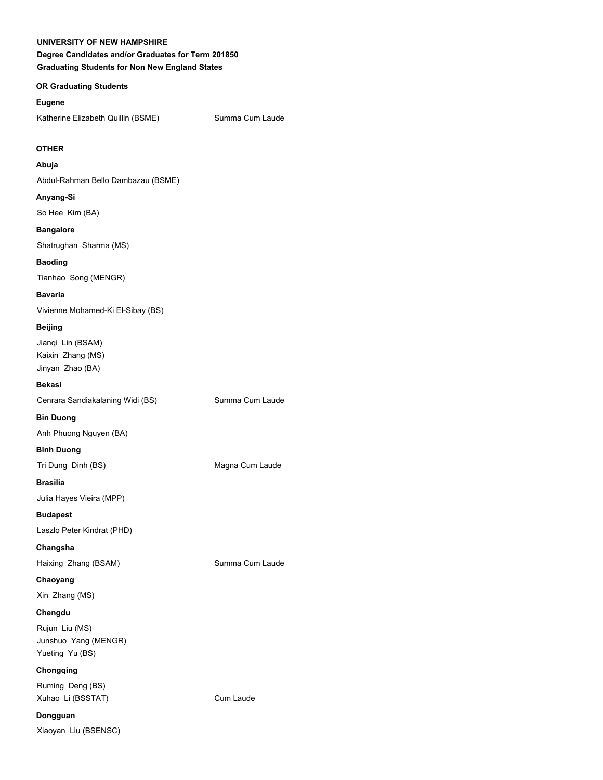**Degree Candidates and/or Graduates for Term 201850 Graduating Students for Non New England States**

## **OR Graduating Students**

#### **Eugene**

Katherine Elizabeth Quillin (BSME) Summa Cum Laude

## **OTHER**

#### **Abuja**

Abdul-Rahman Bello Dambazau (BSME)

## **Anyang-Si**

So Hee Kim (BA)

#### **Bangalore**

Shatrughan Sharma (MS)

## **Baoding**

Tianhao Song (MENGR)

## **Bavaria**

Vivienne Mohamed-Ki El-Sibay (BS)

## **Beijing**

Jianqi Lin (BSAM) Kaixin Zhang (MS) Jinyan Zhao (BA)

#### **Bekasi**

Cenrara Sandiakalaning Widi (BS) Summa Cum Laude

**Bin Duong**

Anh Phuong Nguyen (BA)

## **Binh Duong**

Tri Dung Dinh (BS) Magna Cum Laude

## **Brasilia**

Julia Hayes Vieira (MPP)

## **Budapest**

Laszlo Peter Kindrat (PHD)

## **Changsha**

Haixing Zhang (BSAM) Summa Cum Laude

## **Chaoyang**

Xin Zhang (MS)

## **Chengdu**

Rujun Liu (MS) Junshuo Yang (MENGR) Yueting Yu (BS)

## **Chongqing**

Ruming Deng (BS) Xuhao Li (BSSTAT) Cum Laude

## **Dongguan**

Xiaoyan Liu (BSENSC)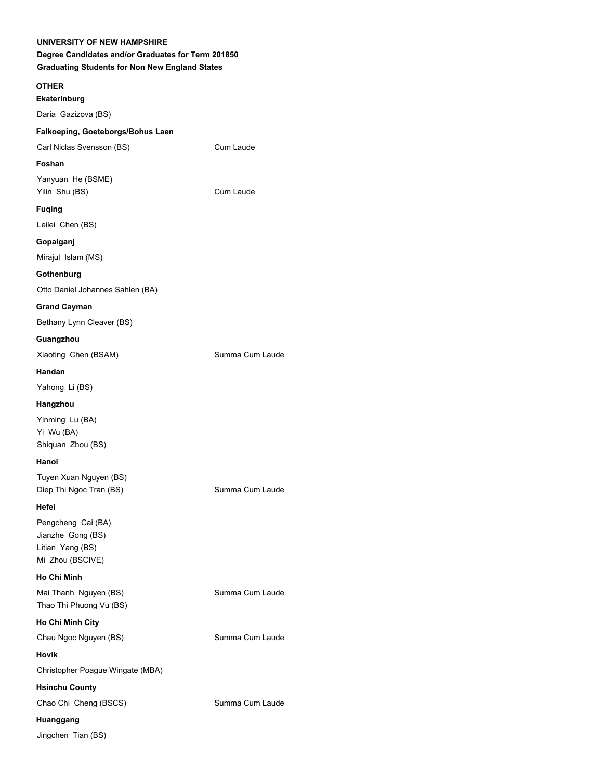## **Degree Candidates and/or Graduates for Term 201850 Graduating Students for Non New England States**

#### **OTHER**

#### **Ekaterinburg**

Daria Gazizova (BS)

## **Falkoeping, Goeteborgs/Bohus Laen** Carl Niclas Svensson (BS) Cum Laude

**Foshan** Yanyuan He (BSME)

Yilin Shu (BS) Cum Laude

## **Fuqing**

Leilei Chen (BS)

## **Gopalganj**

Mirajul Islam (MS)

## **Gothenburg**

Otto Daniel Johannes Sahlen (BA)

## **Grand Cayman**

Bethany Lynn Cleaver (BS)

## **Guangzhou**

Xiaoting Chen (BSAM) Summa Cum Laude

## **Handan**

Yahong Li (BS)

## **Hangzhou**

Yinming Lu (BA) Yi Wu (BA) Shiquan Zhou (BS)

## **Hanoi**

Tuyen Xuan Nguyen (BS) Diep Thi Ngoc Tran (BS) Summa Cum Laude

## **Hefei**

Pengcheng Cai (BA) Jianzhe Gong (BS) Litian Yang (BS) Mi Zhou (BSCIVE)

## **Ho Chi Minh**

Mai Thanh Nguyen (BS) Summa Cum Laude Thao Thi Phuong Vu (BS)

## **Ho Chi Minh City**

Chau Ngoc Nguyen (BS) Summa Cum Laude

## **Hovik**

Christopher Poague Wingate (MBA)

## **Hsinchu County**

Chao Chi Cheng (BSCS) Summa Cum Laude

## **Huanggang**

Jingchen Tian (BS)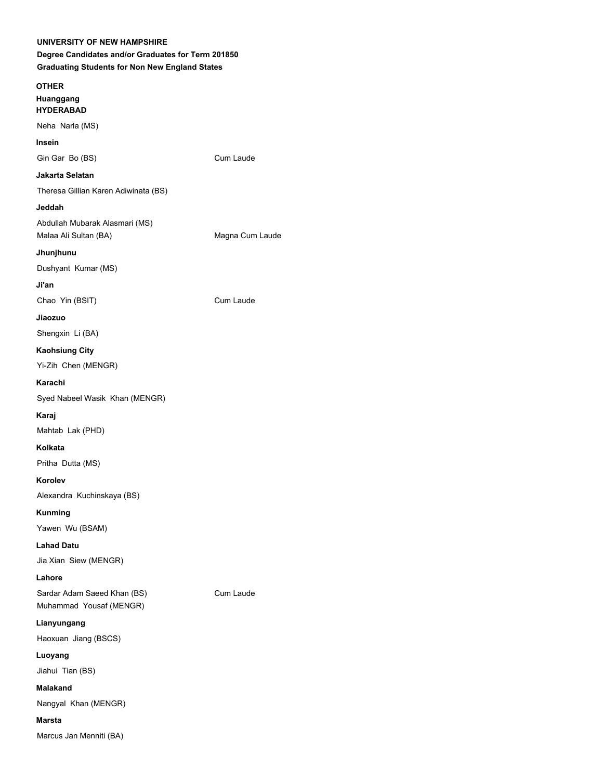## **Degree Candidates and/or Graduates for Term 201850 Graduating Students for Non New England States**

# **OTHER Huanggang HYDERABAD** Neha Narla (MS) **Insein** Gin Gar Bo (BS) Cum Laude **Jakarta Selatan** Theresa Gillian Karen Adiwinata (BS) **Jeddah** Abdullah Mubarak Alasmari (MS) Malaa Ali Sultan (BA) Magna Cum Laude **Jhunjhunu** Dushyant Kumar (MS) **Ji'an** Chao Yin (BSIT) Cum Laude **Jiaozuo** Shengxin Li (BA) **Kaohsiung City** Yi-Zih Chen (MENGR) **Karachi** Syed Nabeel Wasik Khan (MENGR) **Karaj** Mahtab Lak (PHD) **Kolkata** Pritha Dutta (MS) **Korolev** Alexandra Kuchinskaya (BS) **Kunming** Yawen Wu (BSAM) **Lahad Datu** Jia Xian Siew (MENGR)

**Lahore**

Sardar Adam Saeed Khan (BS) Cum Laude Muhammad Yousaf (MENGR)

**Lianyungang**

Haoxuan Jiang (BSCS)

**Luoyang**

Jiahui Tian (BS)

**Malakand**

Nangyal Khan (MENGR)

## **Marsta**

Marcus Jan Menniti (BA)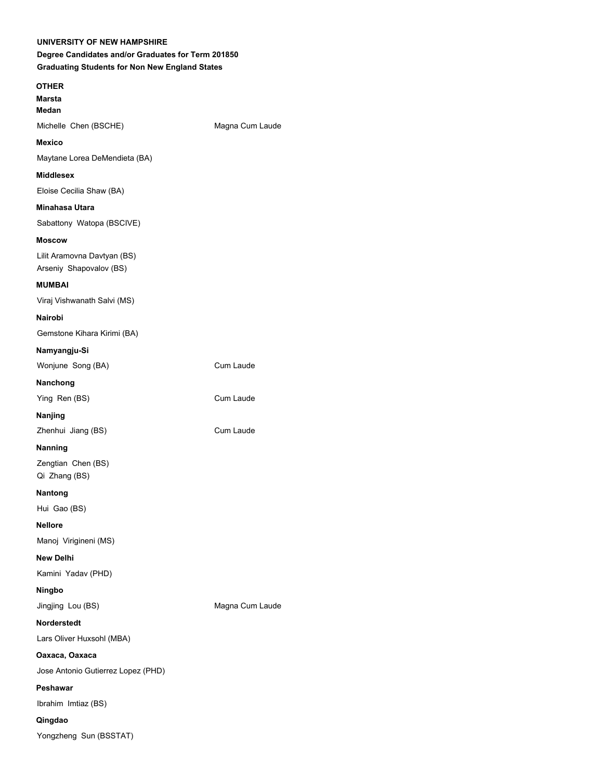# **OTHER Marsta**

**Medan**

**Mexico**

Michelle Chen (BSCHE) Magna Cum Laude

## Maytane Lorea DeMendieta (BA)

## **Middlesex**

Eloise Cecilia Shaw (BA)

## **Minahasa Utara**

Sabattony Watopa (BSCIVE)

## **Moscow**

Lilit Aramovna Davtyan (BS) Arseniy Shapovalov (BS)

## **MUMBAI**

Viraj Vishwanath Salvi (MS)

## **Nairobi**

Gemstone Kihara Kirimi (BA)

## **Namyangju-Si**

Wonjune Song (BA) Cum Laude

## **Nanchong**

Ying Ren (BS) Cum Laude

## **Nanjing**

Zhenhui Jiang (BS) Cum Laude

## **Nanning**

Zengtian Chen (BS) Qi Zhang (BS)

## **Nantong**

Hui Gao (BS)

## **Nellore**

Manoj Virigineni (MS)

## **New Delhi**

Kamini Yadav (PHD)

## **Ningbo**

Jingjing Lou (BS) Magna Cum Laude

## **Norderstedt**

Lars Oliver Huxsohl (MBA)

## **Oaxaca, Oaxaca**

Jose Antonio Gutierrez Lopez (PHD)

## **Peshawar**

Ibrahim Imtiaz (BS)

## **Qingdao**

Yongzheng Sun (BSSTAT)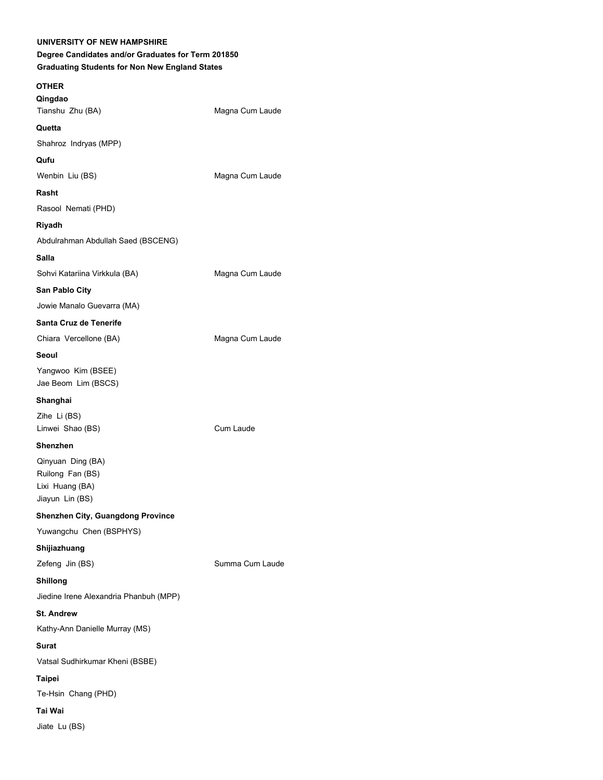# **UNIVERSITY OF NEW HAMPSHIRE Degree Candidates and/or Graduates for Term 201850 Graduating Students for Non New England States OTHER Qingdao** Tianshu Zhu (BA) Magna Cum Laude **Quetta** Shahroz Indryas (MPP) **Qufu** Wenbin Liu (BS) Magna Cum Laude **Rasht** Rasool Nemati (PHD) **Riyadh** Abdulrahman Abdullah Saed (BSCENG) **Salla** Sohvi Katariina Virkkula (BA) Magna Cum Laude **San Pablo City** Jowie Manalo Guevarra (MA) **Santa Cruz de Tenerife** Chiara Vercellone (BA) Magna Cum Laude **Seoul** Yangwoo Kim (BSEE) Jae Beom Lim (BSCS) **Shanghai** Zihe Li (BS) Linwei Shao (BS) Cum Laude **Shenzhen** Qinyuan Ding (BA) Ruilong Fan (BS) Lixi Huang (BA) Jiayun Lin (BS) **Shenzhen City, Guangdong Province** Yuwangchu Chen (BSPHYS) **Shijiazhuang** Zefeng Jin (BS) Summa Cum Laude **Shillong** Jiedine Irene Alexandria Phanbuh (MPP) **St. Andrew** Kathy-Ann Danielle Murray (MS) **Surat** Vatsal Sudhirkumar Kheni (BSBE) **Taipei** Te-Hsin Chang (PHD) **Tai Wai** Jiate Lu (BS)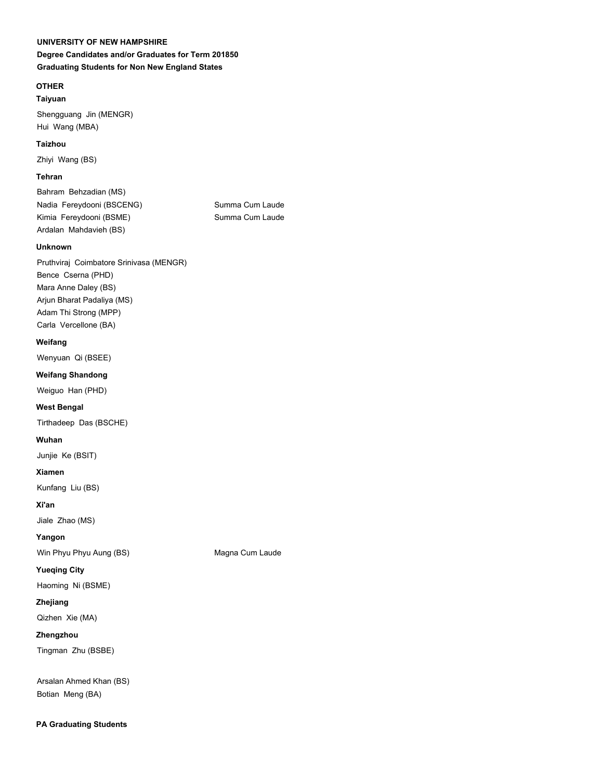**Degree Candidates and/or Graduates for Term 201850 Graduating Students for Non New England States**

## **OTHER**

## **Taiyuan**

Shengguang Jin (MENGR) Hui Wang (MBA)

## **Taizhou**

Zhiyi Wang (BS)

## **Tehran**

Bahram Behzadian (MS) Nadia Fereydooni (BSCENG) Summa Cum Laude Kimia Fereydooni (BSME) Summa Cum Laude Ardalan Mahdavieh (BS)

## **Unknown**

Pruthviraj Coimbatore Srinivasa (MENGR) Bence Cserna (PHD) Mara Anne Daley (BS) Arjun Bharat Padaliya (MS) Adam Thi Strong (MPP) Carla Vercellone (BA)

## **Weifang**

Wenyuan Qi (BSEE)

## **Weifang Shandong**

Weiguo Han (PHD)

## **West Bengal**

Tirthadeep Das (BSCHE)

## **Wuhan**

Junjie Ke (BSIT)

## **Xiamen**

Kunfang Liu (BS)

## **Xi'an**

Jiale Zhao (MS)

## **Yangon**

Win Phyu Phyu Aung (BS) Magna Cum Laude

## **Yueqing City**

Haoming Ni (BSME)

## **Zhejiang**

Qizhen Xie (MA)

## **Zhengzhou**

Tingman Zhu (BSBE)

Arsalan Ahmed Khan (BS) Botian Meng (BA)

## **PA Graduating Students**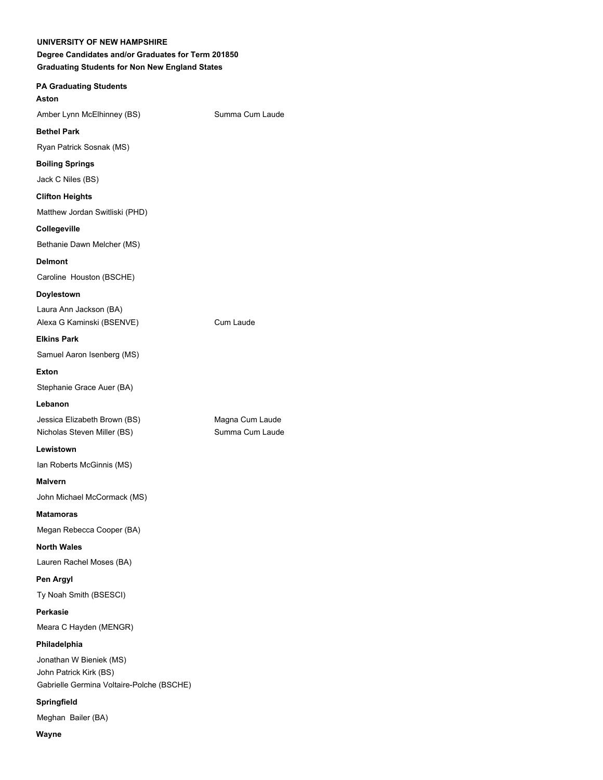| UNIVERSITY OF NEW HAMPSHIRE<br>Degree Candidates and/or Graduates for Term 201850<br><b>Graduating Students for Non New England States</b> |                 |  |
|--------------------------------------------------------------------------------------------------------------------------------------------|-----------------|--|
| <b>PA Graduating Students</b><br>Aston                                                                                                     |                 |  |
| Amber Lynn McElhinney (BS)                                                                                                                 | Summa Cum Laude |  |
| <b>Bethel Park</b>                                                                                                                         |                 |  |
| Ryan Patrick Sosnak (MS)                                                                                                                   |                 |  |
| <b>Boiling Springs</b>                                                                                                                     |                 |  |
| Jack C Niles (BS)                                                                                                                          |                 |  |
| <b>Clifton Heights</b>                                                                                                                     |                 |  |
| Matthew Jordan Switliski (PHD)                                                                                                             |                 |  |
| Collegeville                                                                                                                               |                 |  |
| Bethanie Dawn Melcher (MS)                                                                                                                 |                 |  |
| <b>Delmont</b>                                                                                                                             |                 |  |
| Caroline Houston (BSCHE)                                                                                                                   |                 |  |
| Doylestown                                                                                                                                 |                 |  |
| Laura Ann Jackson (BA)                                                                                                                     |                 |  |
| Alexa G Kaminski (BSENVE)                                                                                                                  | Cum Laude       |  |
| <b>Elkins Park</b>                                                                                                                         |                 |  |
| Samuel Aaron Isenberg (MS)                                                                                                                 |                 |  |
| Exton                                                                                                                                      |                 |  |
| Stephanie Grace Auer (BA)                                                                                                                  |                 |  |
| Lebanon                                                                                                                                    |                 |  |
| Jessica Elizabeth Brown (BS)                                                                                                               | Magna Cum Laude |  |
| Nicholas Steven Miller (BS)                                                                                                                | Summa Cum Laude |  |
| Lewistown                                                                                                                                  |                 |  |
| Ian Roberts McGinnis (MS)                                                                                                                  |                 |  |
| Malvern                                                                                                                                    |                 |  |
| John Michael McCormack (MS)                                                                                                                |                 |  |
| <b>Matamoras</b>                                                                                                                           |                 |  |
| Megan Rebecca Cooper (BA)                                                                                                                  |                 |  |
| <b>North Wales</b>                                                                                                                         |                 |  |
| Lauren Rachel Moses (BA)                                                                                                                   |                 |  |
| Pen Argyl                                                                                                                                  |                 |  |
| Ty Noah Smith (BSESCI)                                                                                                                     |                 |  |
| Perkasie                                                                                                                                   |                 |  |
| Meara C Hayden (MENGR)                                                                                                                     |                 |  |
| Philadelphia                                                                                                                               |                 |  |
| Jonathan W Bieniek (MS)                                                                                                                    |                 |  |
| John Patrick Kirk (BS)<br>Gabrielle Germina Voltaire-Polche (BSCHE)                                                                        |                 |  |
| Springfield                                                                                                                                |                 |  |

Meghan Bailer (BA)

**Wayne**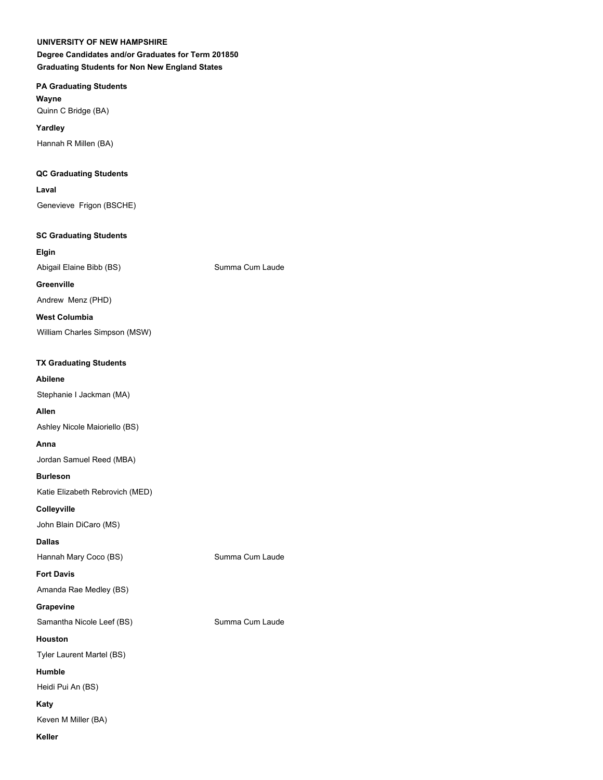**Degree Candidates and/or Graduates for Term 201850 Graduating Students for Non New England States**

## **PA Graduating Students**

**Wayne** Quinn C Bridge (BA)

**Yardley** Hannah R Millen (BA)

## **QC Graduating Students**

**Laval**

Genevieve Frigon (BSCHE)

#### **SC Graduating Students**

**Elgin** Abigail Elaine Bibb (BS) Summa Cum Laude

## **Greenville**

Andrew Menz (PHD)

**West Columbia**

William Charles Simpson (MSW)

## **TX Graduating Students**

## **Abilene**

Stephanie I Jackman (MA)

## **Allen**

Ashley Nicole Maioriello (BS)

#### **Anna**

Jordan Samuel Reed (MBA)

## **Burleson**

Katie Elizabeth Rebrovich (MED)

**Colleyville**

John Blain DiCaro (MS)

#### **Dallas**

Hannah Mary Coco (BS) Summa Cum Laude

#### **Fort Davis**

Amanda Rae Medley (BS)

#### **Grapevine**

Samantha Nicole Leef (BS) Summa Cum Laude

### **Houston**

Tyler Laurent Martel (BS)

## **Humble**

Heidi Pui An (BS)

#### **Katy**

Keven M Miller (BA)

## **Keller**